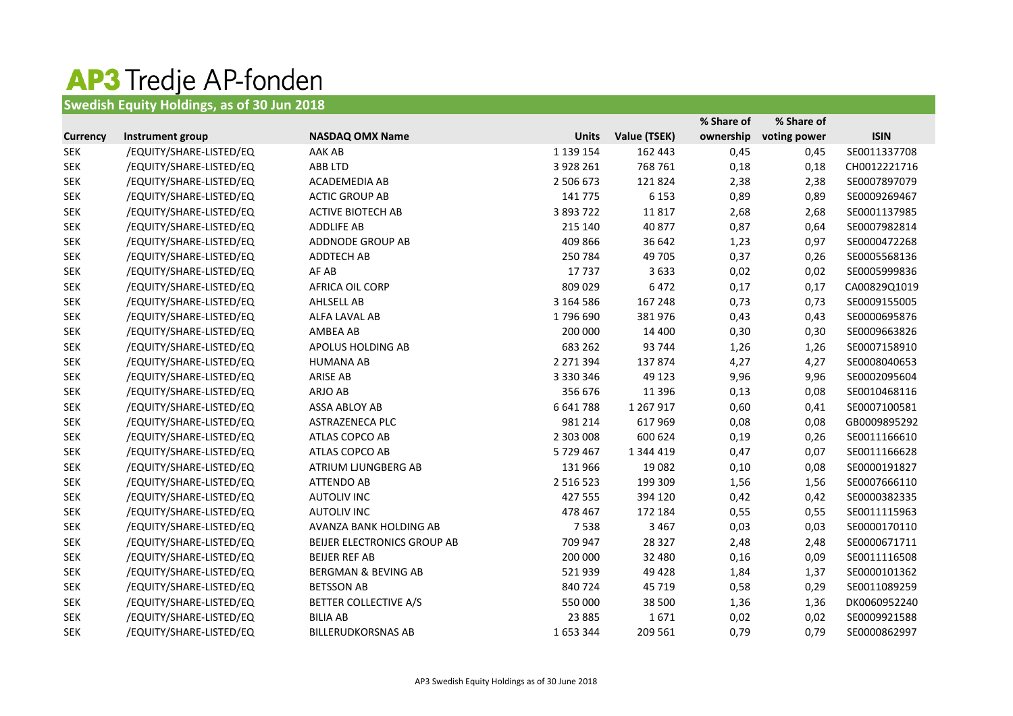## **AP3 Tredje AP-fonden**<br>Swedish Equity Holdings, as of 30 Jun 2018

|                 |                         |                                |               |              | % Share of | % Share of   |              |
|-----------------|-------------------------|--------------------------------|---------------|--------------|------------|--------------|--------------|
| <b>Currency</b> | Instrument group        | <b>NASDAQ OMX Name</b>         | <b>Units</b>  | Value (TSEK) | ownership  | voting power | <b>ISIN</b>  |
| <b>SEK</b>      | /EQUITY/SHARE-LISTED/EQ | AAK AB                         | 1 139 154     | 162 443      | 0,45       | 0,45         | SE0011337708 |
| <b>SEK</b>      | /EQUITY/SHARE-LISTED/EQ | ABB LTD                        | 3 9 28 26 1   | 768 761      | 0,18       | 0,18         | CH0012221716 |
| <b>SEK</b>      | /EQUITY/SHARE-LISTED/EQ | ACADEMEDIA AB                  | 2 506 673     | 121824       | 2,38       | 2,38         | SE0007897079 |
| <b>SEK</b>      | /EQUITY/SHARE-LISTED/EQ | <b>ACTIC GROUP AB</b>          | 141 775       | 6 1 5 3      | 0,89       | 0,89         | SE0009269467 |
| <b>SEK</b>      | /EQUITY/SHARE-LISTED/EQ | <b>ACTIVE BIOTECH AB</b>       | 3 893 722     | 11817        | 2,68       | 2,68         | SE0001137985 |
| <b>SEK</b>      | /EQUITY/SHARE-LISTED/EQ | <b>ADDLIFE AB</b>              | 215 140       | 40 877       | 0,87       | 0,64         | SE0007982814 |
| <b>SEK</b>      | /EQUITY/SHARE-LISTED/EQ | ADDNODE GROUP AB               | 409 866       | 36 642       | 1,23       | 0,97         | SE0000472268 |
| <b>SEK</b>      | /EQUITY/SHARE-LISTED/EQ | <b>ADDTECH AB</b>              | 250 784       | 49 705       | 0,37       | 0,26         | SE0005568136 |
| <b>SEK</b>      | /EQUITY/SHARE-LISTED/EQ | AF AB                          | 17737         | 3633         | 0,02       | 0,02         | SE0005999836 |
| <b>SEK</b>      | /EQUITY/SHARE-LISTED/EQ | AFRICA OIL CORP                | 809 029       | 6472         | 0,17       | 0,17         | CA00829Q1019 |
| <b>SEK</b>      | /EQUITY/SHARE-LISTED/EQ | AHLSELL AB                     | 3 164 586     | 167 248      | 0,73       | 0,73         | SE0009155005 |
| <b>SEK</b>      | /EQUITY/SHARE-LISTED/EQ | ALFA LAVAL AB                  | 1796 690      | 381976       | 0,43       | 0,43         | SE0000695876 |
| <b>SEK</b>      | /EQUITY/SHARE-LISTED/EQ | AMBEA AB                       | 200 000       | 14 400       | 0,30       | 0,30         | SE0009663826 |
| <b>SEK</b>      | /EQUITY/SHARE-LISTED/EQ | APOLUS HOLDING AB              | 683 262       | 93 744       | 1,26       | 1,26         | SE0007158910 |
| <b>SEK</b>      | /EQUITY/SHARE-LISTED/EQ | <b>HUMANA AB</b>               | 2 271 394     | 137874       | 4,27       | 4,27         | SE0008040653 |
| <b>SEK</b>      | /EQUITY/SHARE-LISTED/EQ | <b>ARISE AB</b>                | 3 3 3 0 3 4 6 | 49 1 23      | 9,96       | 9,96         | SE0002095604 |
| <b>SEK</b>      | /EQUITY/SHARE-LISTED/EQ | ARJO AB                        | 356 676       | 11 3 9 6     | 0,13       | 0,08         | SE0010468116 |
| <b>SEK</b>      | /EQUITY/SHARE-LISTED/EQ | ASSA ABLOY AB                  | 6 641 788     | 1 267 917    | 0,60       | 0,41         | SE0007100581 |
| <b>SEK</b>      | /EQUITY/SHARE-LISTED/EQ | ASTRAZENECA PLC                | 981 214       | 617969       | 0,08       | 0,08         | GB0009895292 |
| <b>SEK</b>      | /EQUITY/SHARE-LISTED/EQ | ATLAS COPCO AB                 | 2 303 008     | 600 624      | 0,19       | 0,26         | SE0011166610 |
| <b>SEK</b>      | /EQUITY/SHARE-LISTED/EQ | ATLAS COPCO AB                 | 5729467       | 1 344 419    | 0,47       | 0,07         | SE0011166628 |
| <b>SEK</b>      | /EQUITY/SHARE-LISTED/EQ | ATRIUM LJUNGBERG AB            | 131 966       | 19 0 82      | 0,10       | 0,08         | SE0000191827 |
| <b>SEK</b>      | /EQUITY/SHARE-LISTED/EQ | <b>ATTENDO AB</b>              | 2 5 1 6 5 2 3 | 199 309      | 1,56       | 1,56         | SE0007666110 |
| <b>SEK</b>      | /EQUITY/SHARE-LISTED/EQ | <b>AUTOLIV INC</b>             | 427 555       | 394 120      | 0,42       | 0,42         | SE0000382335 |
| <b>SEK</b>      | /EQUITY/SHARE-LISTED/EQ | <b>AUTOLIV INC</b>             | 478 467       | 172 184      | 0,55       | 0,55         | SE0011115963 |
| <b>SEK</b>      | /EQUITY/SHARE-LISTED/EQ | AVANZA BANK HOLDING AB         | 7538          | 3 4 6 7      | 0,03       | 0,03         | SE0000170110 |
| <b>SEK</b>      | /EQUITY/SHARE-LISTED/EQ | BEIJER ELECTRONICS GROUP AB    | 709 947       | 28 3 27      | 2,48       | 2,48         | SE0000671711 |
| <b>SEK</b>      | /EQUITY/SHARE-LISTED/EQ | <b>BEIJER REF AB</b>           | 200 000       | 32 480       | 0,16       | 0,09         | SE0011116508 |
| <b>SEK</b>      | /EQUITY/SHARE-LISTED/EQ | <b>BERGMAN &amp; BEVING AB</b> | 521939        | 49 4 28      | 1,84       | 1,37         | SE0000101362 |
| <b>SEK</b>      | /EQUITY/SHARE-LISTED/EQ | <b>BETSSON AB</b>              | 840724        | 45 7 19      | 0,58       | 0,29         | SE0011089259 |
| <b>SEK</b>      | /EQUITY/SHARE-LISTED/EQ | <b>BETTER COLLECTIVE A/S</b>   | 550 000       | 38 500       | 1,36       | 1,36         | DK0060952240 |
| <b>SEK</b>      | /EQUITY/SHARE-LISTED/EQ | <b>BILIA AB</b>                | 23 8 8 5      | 1671         | 0,02       | 0,02         | SE0009921588 |
| <b>SEK</b>      | /EQUITY/SHARE-LISTED/EQ | <b>BILLERUDKORSNAS AB</b>      | 1653344       | 209 561      | 0,79       | 0,79         | SE0000862997 |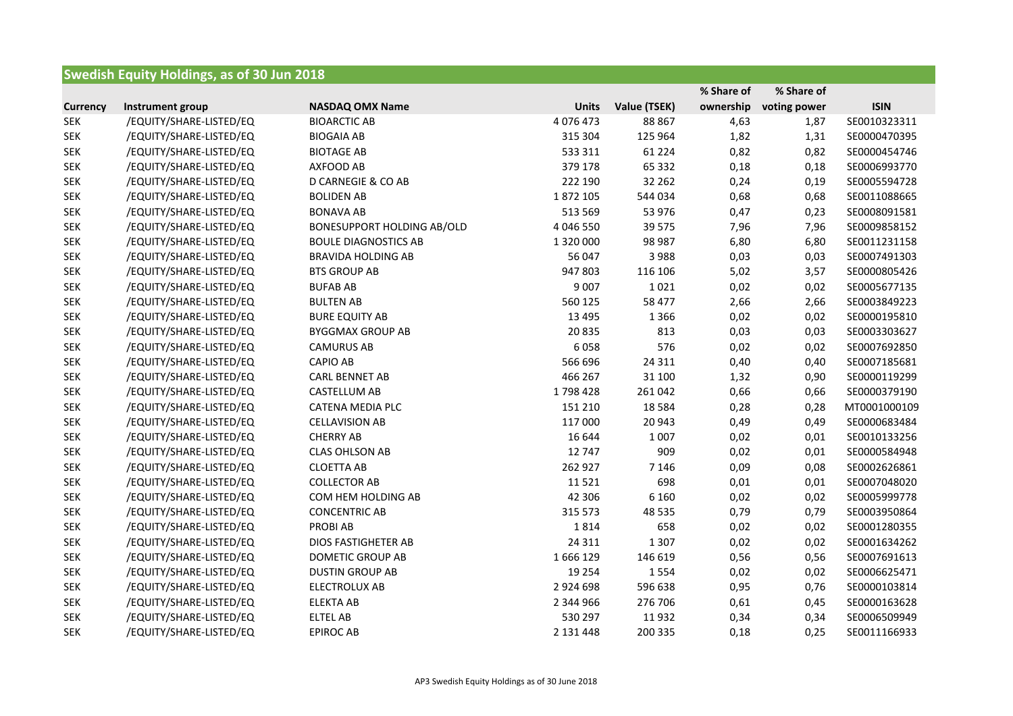| <b>Swedish Equity Holdings, as of 30 Jun 2018</b> |                         |                                   |               |              |            |              |              |
|---------------------------------------------------|-------------------------|-----------------------------------|---------------|--------------|------------|--------------|--------------|
|                                                   |                         |                                   |               |              | % Share of | % Share of   |              |
| <b>Currency</b>                                   | Instrument group        | <b>NASDAQ OMX Name</b>            | <b>Units</b>  | Value (TSEK) | ownership  | voting power | <b>ISIN</b>  |
| <b>SEK</b>                                        | /EQUITY/SHARE-LISTED/EQ | <b>BIOARCTIC AB</b>               | 4 0 7 6 4 7 3 | 88 867       | 4,63       | 1,87         | SE0010323311 |
| <b>SEK</b>                                        | /EQUITY/SHARE-LISTED/EQ | <b>BIOGAIA AB</b>                 | 315 304       | 125 964      | 1,82       | 1,31         | SE0000470395 |
| <b>SEK</b>                                        | /EQUITY/SHARE-LISTED/EQ | <b>BIOTAGE AB</b>                 | 533 311       | 61 2 2 4     | 0,82       | 0,82         | SE0000454746 |
| <b>SEK</b>                                        | /EQUITY/SHARE-LISTED/EQ | AXFOOD AB                         | 379 178       | 65 3 32      | 0,18       | 0,18         | SE0006993770 |
| <b>SEK</b>                                        | /EQUITY/SHARE-LISTED/EQ | D CARNEGIE & CO AB                | 222 190       | 32 262       | 0,24       | 0,19         | SE0005594728 |
| <b>SEK</b>                                        | /EQUITY/SHARE-LISTED/EQ | <b>BOLIDEN AB</b>                 | 1872 105      | 544 034      | 0,68       | 0,68         | SE0011088665 |
| <b>SEK</b>                                        | /EQUITY/SHARE-LISTED/EQ | <b>BONAVA AB</b>                  | 513 569       | 53 976       | 0,47       | 0,23         | SE0008091581 |
| <b>SEK</b>                                        | /EQUITY/SHARE-LISTED/EQ | <b>BONESUPPORT HOLDING AB/OLD</b> | 4 046 550     | 39 5 7 5     | 7,96       | 7,96         | SE0009858152 |
| <b>SEK</b>                                        | /EQUITY/SHARE-LISTED/EQ | <b>BOULE DIAGNOSTICS AB</b>       | 1 320 000     | 98 987       | 6,80       | 6,80         | SE0011231158 |
| <b>SEK</b>                                        | /EQUITY/SHARE-LISTED/EQ | <b>BRAVIDA HOLDING AB</b>         | 56 047        | 3988         | 0,03       | 0,03         | SE0007491303 |
| <b>SEK</b>                                        | /EQUITY/SHARE-LISTED/EQ | <b>BTS GROUP AB</b>               | 947 803       | 116 106      | 5,02       | 3,57         | SE0000805426 |
| <b>SEK</b>                                        | /EQUITY/SHARE-LISTED/EQ | <b>BUFAB AB</b>                   | 9 0 0 7       | 1021         | 0,02       | 0,02         | SE0005677135 |
| <b>SEK</b>                                        | /EQUITY/SHARE-LISTED/EQ | <b>BULTEN AB</b>                  | 560 125       | 58 477       | 2,66       | 2,66         | SE0003849223 |
| <b>SEK</b>                                        | /EQUITY/SHARE-LISTED/EQ | <b>BURE EQUITY AB</b>             | 13 4 95       | 1 3 6 6      | 0,02       | 0,02         | SE0000195810 |
| <b>SEK</b>                                        | /EQUITY/SHARE-LISTED/EQ | <b>BYGGMAX GROUP AB</b>           | 20835         | 813          | 0,03       | 0,03         | SE0003303627 |
| <b>SEK</b>                                        | /EQUITY/SHARE-LISTED/EQ | <b>CAMURUS AB</b>                 | 6058          | 576          | 0,02       | 0,02         | SE0007692850 |
| <b>SEK</b>                                        | /EQUITY/SHARE-LISTED/EQ | <b>CAPIO AB</b>                   | 566 696       | 24 3 11      | 0,40       | 0,40         | SE0007185681 |
| <b>SEK</b>                                        | /EQUITY/SHARE-LISTED/EQ | <b>CARL BENNET AB</b>             | 466 267       | 31 100       | 1,32       | 0,90         | SE0000119299 |
| <b>SEK</b>                                        | /EQUITY/SHARE-LISTED/EQ | CASTELLUM AB                      | 1798428       | 261 042      | 0,66       | 0,66         | SE0000379190 |
| <b>SEK</b>                                        | /EQUITY/SHARE-LISTED/EQ | <b>CATENA MEDIA PLC</b>           | 151 210       | 18 5 84      | 0,28       | 0,28         | MT0001000109 |
| <b>SEK</b>                                        | /EQUITY/SHARE-LISTED/EQ | <b>CELLAVISION AB</b>             | 117 000       | 20 943       | 0,49       | 0,49         | SE0000683484 |
| <b>SEK</b>                                        | /EQUITY/SHARE-LISTED/EQ | <b>CHERRY AB</b>                  | 16 644        | 1 0 0 7      | 0,02       | 0,01         | SE0010133256 |
| <b>SEK</b>                                        | /EQUITY/SHARE-LISTED/EQ | <b>CLAS OHLSON AB</b>             | 12 747        | 909          | 0,02       | 0,01         | SE0000584948 |
| <b>SEK</b>                                        | /EQUITY/SHARE-LISTED/EQ | <b>CLOETTA AB</b>                 | 262 927       | 7 1 4 6      | 0,09       | 0,08         | SE0002626861 |
| <b>SEK</b>                                        | /EQUITY/SHARE-LISTED/EQ | <b>COLLECTOR AB</b>               | 11521         | 698          | 0,01       | 0,01         | SE0007048020 |
| <b>SEK</b>                                        | /EQUITY/SHARE-LISTED/EQ | COM HEM HOLDING AB                | 42 30 6       | 6 1 6 0      | 0,02       | 0,02         | SE0005999778 |
| <b>SEK</b>                                        | /EQUITY/SHARE-LISTED/EQ | <b>CONCENTRIC AB</b>              | 315 573       | 48 5 35      | 0,79       | 0,79         | SE0003950864 |
| <b>SEK</b>                                        | /EQUITY/SHARE-LISTED/EQ | <b>PROBIAB</b>                    | 1814          | 658          | 0,02       | 0,02         | SE0001280355 |
| <b>SEK</b>                                        | /EQUITY/SHARE-LISTED/EQ | DIOS FASTIGHETER AB               | 24 311        | 1 3 0 7      | 0,02       | 0,02         | SE0001634262 |
| <b>SEK</b>                                        | /EQUITY/SHARE-LISTED/EQ | <b>DOMETIC GROUP AB</b>           | 1666129       | 146 619      | 0,56       | 0,56         | SE0007691613 |
| <b>SEK</b>                                        | /EQUITY/SHARE-LISTED/EQ | <b>DUSTIN GROUP AB</b>            | 19 2 54       | 1554         | 0,02       | 0,02         | SE0006625471 |
| <b>SEK</b>                                        | /EQUITY/SHARE-LISTED/EQ | ELECTROLUX AB                     | 2 9 2 4 6 9 8 | 596 638      | 0,95       | 0,76         | SE0000103814 |
| <b>SEK</b>                                        | /EQUITY/SHARE-LISTED/EQ | <b>ELEKTA AB</b>                  | 2 344 966     | 276 706      | 0,61       | 0,45         | SE0000163628 |
| <b>SEK</b>                                        | /EQUITY/SHARE-LISTED/EQ | <b>ELTEL AB</b>                   | 530 297       | 11932        | 0,34       | 0,34         | SE0006509949 |
| <b>SEK</b>                                        | /EQUITY/SHARE-LISTED/EQ | <b>EPIROC AB</b>                  | 2 131 448     | 200 335      | 0,18       | 0,25         | SE0011166933 |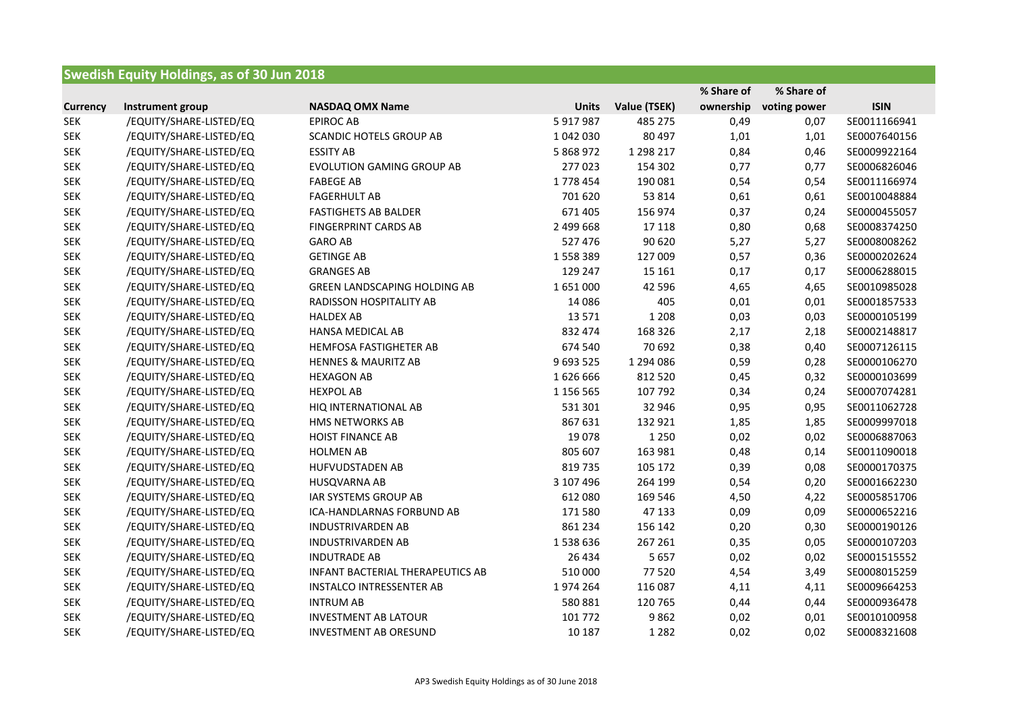## **Swedish Equity Holdings, as of 30 Jun 2018**

|                 |                         |                                     |              |              | % Share of | % Share of   |              |
|-----------------|-------------------------|-------------------------------------|--------------|--------------|------------|--------------|--------------|
| <b>Currency</b> | Instrument group        | <b>NASDAQ OMX Name</b>              | <b>Units</b> | Value (TSEK) | ownership  | voting power | <b>ISIN</b>  |
| <b>SEK</b>      | /EQUITY/SHARE-LISTED/EQ | <b>EPIROC AB</b>                    | 5917987      | 485 275      | 0,49       | 0,07         | SE0011166941 |
| <b>SEK</b>      | /EQUITY/SHARE-LISTED/EQ | <b>SCANDIC HOTELS GROUP AB</b>      | 1042030      | 80 497       | 1,01       | 1,01         | SE0007640156 |
| <b>SEK</b>      | /EQUITY/SHARE-LISTED/EQ | <b>ESSITY AB</b>                    | 5 868 972    | 1 298 217    | 0,84       | 0,46         | SE0009922164 |
| <b>SEK</b>      | /EQUITY/SHARE-LISTED/EQ | <b>EVOLUTION GAMING GROUP AB</b>    | 277023       | 154 302      | 0,77       | 0,77         | SE0006826046 |
| <b>SEK</b>      | /EQUITY/SHARE-LISTED/EQ | <b>FABEGE AB</b>                    | 1778 454     | 190 081      | 0,54       | 0,54         | SE0011166974 |
| <b>SEK</b>      | /EQUITY/SHARE-LISTED/EQ | <b>FAGERHULT AB</b>                 | 701 620      | 53 814       | 0,61       | 0,61         | SE0010048884 |
| <b>SEK</b>      | /EQUITY/SHARE-LISTED/EQ | <b>FASTIGHETS AB BALDER</b>         | 671 405      | 156 974      | 0,37       | 0,24         | SE0000455057 |
| <b>SEK</b>      | /EQUITY/SHARE-LISTED/EQ | <b>FINGERPRINT CARDS AB</b>         | 2 499 668    | 17 118       | 0,80       | 0,68         | SE0008374250 |
| <b>SEK</b>      | /EQUITY/SHARE-LISTED/EQ | <b>GARO AB</b>                      | 527 476      | 90 620       | 5,27       | 5,27         | SE0008008262 |
| <b>SEK</b>      | /EQUITY/SHARE-LISTED/EQ | <b>GETINGE AB</b>                   | 1558389      | 127 009      | 0,57       | 0,36         | SE0000202624 |
| <b>SEK</b>      | /EQUITY/SHARE-LISTED/EQ | <b>GRANGES AB</b>                   | 129 247      | 15 16 1      | 0,17       | 0,17         | SE0006288015 |
| <b>SEK</b>      | /EQUITY/SHARE-LISTED/EQ | <b>GREEN LANDSCAPING HOLDING AB</b> | 1651000      | 42 5 96      | 4,65       | 4,65         | SE0010985028 |
| <b>SEK</b>      | /EQUITY/SHARE-LISTED/EQ | RADISSON HOSPITALITY AB             | 14 08 6      | 405          | 0,01       | 0,01         | SE0001857533 |
| <b>SEK</b>      | /EQUITY/SHARE-LISTED/EQ | <b>HALDEX AB</b>                    | 13 5 7 1     | 1 2 0 8      | 0,03       | 0,03         | SE0000105199 |
| <b>SEK</b>      | /EQUITY/SHARE-LISTED/EQ | HANSA MEDICAL AB                    | 832 474      | 168 326      | 2,17       | 2,18         | SE0002148817 |
| <b>SEK</b>      | /EQUITY/SHARE-LISTED/EQ | <b>HEMFOSA FASTIGHETER AB</b>       | 674 540      | 70 692       | 0,38       | 0,40         | SE0007126115 |
| <b>SEK</b>      | /EQUITY/SHARE-LISTED/EQ | <b>HENNES &amp; MAURITZ AB</b>      | 9 693 525    | 1 294 086    | 0,59       | 0,28         | SE0000106270 |
| <b>SEK</b>      | /EQUITY/SHARE-LISTED/EQ | <b>HEXAGON AB</b>                   | 1626666      | 812 520      | 0,45       | 0,32         | SE0000103699 |
| <b>SEK</b>      | /EQUITY/SHARE-LISTED/EQ | <b>HEXPOL AB</b>                    | 1 156 565    | 107 792      | 0,34       | 0,24         | SE0007074281 |
| <b>SEK</b>      | /EQUITY/SHARE-LISTED/EQ | HIQ INTERNATIONAL AB                | 531 301      | 32 946       | 0,95       | 0,95         | SE0011062728 |
| <b>SEK</b>      | /EQUITY/SHARE-LISTED/EQ | HMS NETWORKS AB                     | 867 631      | 132 921      | 1,85       | 1,85         | SE0009997018 |
| <b>SEK</b>      | /EQUITY/SHARE-LISTED/EQ | <b>HOIST FINANCE AB</b>             | 19078        | 1 2 5 0      | 0,02       | 0,02         | SE0006887063 |
| <b>SEK</b>      | /EQUITY/SHARE-LISTED/EQ | <b>HOLMEN AB</b>                    | 805 607      | 163 981      | 0,48       | 0,14         | SE0011090018 |
| <b>SEK</b>      | /EQUITY/SHARE-LISTED/EQ | <b>HUFVUDSTADEN AB</b>              | 819 735      | 105 172      | 0,39       | 0,08         | SE0000170375 |
| <b>SEK</b>      | /EQUITY/SHARE-LISTED/EQ | HUSQVARNA AB                        | 3 107 496    | 264 199      | 0,54       | 0,20         | SE0001662230 |
| <b>SEK</b>      | /EQUITY/SHARE-LISTED/EQ | IAR SYSTEMS GROUP AB                | 612 080      | 169 546      | 4,50       | 4,22         | SE0005851706 |
| <b>SEK</b>      | /EQUITY/SHARE-LISTED/EQ | ICA-HANDLARNAS FORBUND AB           | 171580       | 47 133       | 0,09       | 0,09         | SE0000652216 |
| <b>SEK</b>      | /EQUITY/SHARE-LISTED/EQ | <b>INDUSTRIVARDEN AB</b>            | 861 234      | 156 142      | 0,20       | 0,30         | SE0000190126 |
| <b>SEK</b>      | /EQUITY/SHARE-LISTED/EQ | <b>INDUSTRIVARDEN AB</b>            | 1538636      | 267 261      | 0,35       | 0,05         | SE0000107203 |
| <b>SEK</b>      | /EQUITY/SHARE-LISTED/EQ | <b>INDUTRADE AB</b>                 | 26 4 34      | 5 6 5 7      | 0,02       | 0,02         | SE0001515552 |
| <b>SEK</b>      | /EQUITY/SHARE-LISTED/EQ | INFANT BACTERIAL THERAPEUTICS AB    | 510 000      | 77520        | 4,54       | 3,49         | SE0008015259 |
| <b>SEK</b>      | /EQUITY/SHARE-LISTED/EQ | <b>INSTALCO INTRESSENTER AB</b>     | 1974 264     | 116 087      | 4,11       | 4,11         | SE0009664253 |
| <b>SEK</b>      | /EQUITY/SHARE-LISTED/EQ | <b>INTRUM AB</b>                    | 580881       | 120 765      | 0,44       | 0,44         | SE0000936478 |
| <b>SEK</b>      | /EQUITY/SHARE-LISTED/EQ | <b>INVESTMENT AB LATOUR</b>         | 101 772      | 9862         | 0,02       | 0,01         | SE0010100958 |
| <b>SEK</b>      | /EQUITY/SHARE-LISTED/EQ | <b>INVESTMENT AB ORESUND</b>        | 10 187       | 1 2 8 2      | 0,02       | 0,02         | SE0008321608 |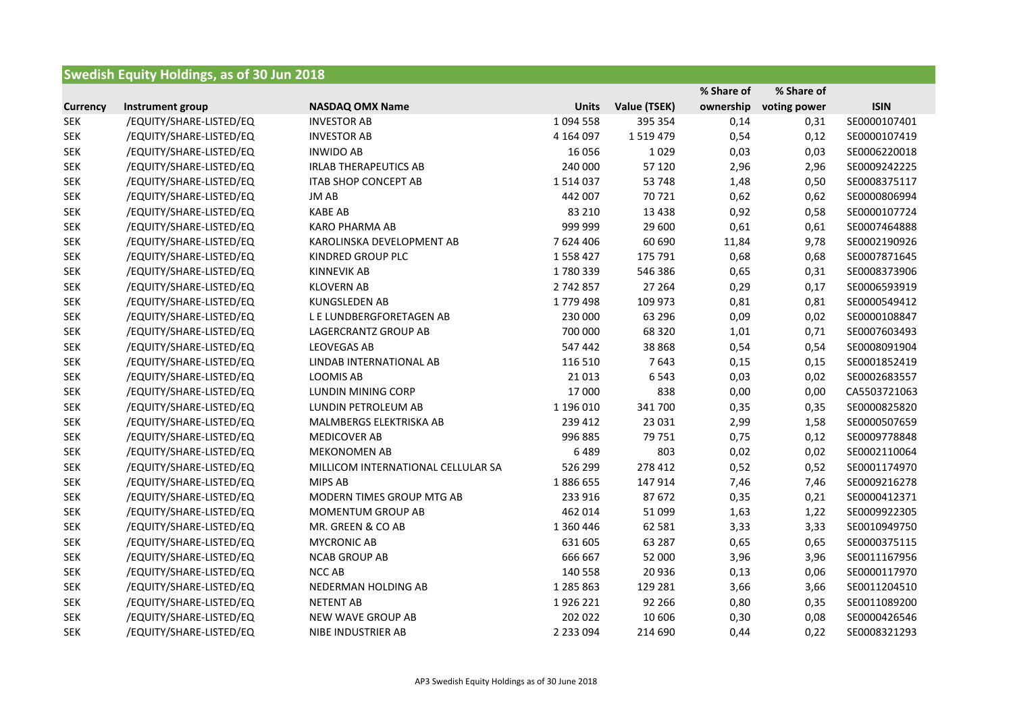| <b>Swedish Equity Holdings, as of 30 Jun 2018</b> |                         |                                    |               |              |            |              |              |
|---------------------------------------------------|-------------------------|------------------------------------|---------------|--------------|------------|--------------|--------------|
|                                                   |                         |                                    |               |              | % Share of | % Share of   |              |
| <b>Currency</b>                                   | Instrument group        | <b>NASDAQ OMX Name</b>             | <b>Units</b>  | Value (TSEK) | ownership  | voting power | <b>ISIN</b>  |
| <b>SEK</b>                                        | /EQUITY/SHARE-LISTED/EQ | <b>INVESTOR AB</b>                 | 1 0 9 4 5 5 8 | 395 354      | 0,14       | 0,31         | SE0000107401 |
| <b>SEK</b>                                        | /EQUITY/SHARE-LISTED/EQ | <b>INVESTOR AB</b>                 | 4 164 097     | 1519479      | 0,54       | 0,12         | SE0000107419 |
| <b>SEK</b>                                        | /EQUITY/SHARE-LISTED/EQ | <b>INWIDO AB</b>                   | 16 0 56       | 1029         | 0,03       | 0,03         | SE0006220018 |
| <b>SEK</b>                                        | /EQUITY/SHARE-LISTED/EQ | <b>IRLAB THERAPEUTICS AB</b>       | 240 000       | 57 120       | 2,96       | 2,96         | SE0009242225 |
| <b>SEK</b>                                        | /EQUITY/SHARE-LISTED/EQ | <b>ITAB SHOP CONCEPT AB</b>        | 1514037       | 53 748       | 1,48       | 0,50         | SE0008375117 |
| <b>SEK</b>                                        | /EQUITY/SHARE-LISTED/EQ | JM AB                              | 442 007       | 70721        | 0,62       | 0,62         | SE0000806994 |
| <b>SEK</b>                                        | /EQUITY/SHARE-LISTED/EQ | <b>KABE AB</b>                     | 83 210        | 13 4 38      | 0,92       | 0,58         | SE0000107724 |
| <b>SEK</b>                                        | /EQUITY/SHARE-LISTED/EQ | <b>KARO PHARMA AB</b>              | 999 999       | 29 600       | 0,61       | 0,61         | SE0007464888 |
| <b>SEK</b>                                        | /EQUITY/SHARE-LISTED/EQ | KAROLINSKA DEVELOPMENT AB          | 7 624 406     | 60 690       | 11,84      | 9,78         | SE0002190926 |
| <b>SEK</b>                                        | /EQUITY/SHARE-LISTED/EQ | KINDRED GROUP PLC                  | 1558427       | 175 791      | 0,68       | 0,68         | SE0007871645 |
| <b>SEK</b>                                        | /EQUITY/SHARE-LISTED/EQ | <b>KINNEVIK AB</b>                 | 1780339       | 546 386      | 0,65       | 0,31         | SE0008373906 |
| <b>SEK</b>                                        | /EQUITY/SHARE-LISTED/EQ | <b>KLOVERN AB</b>                  | 2742857       | 27 264       | 0,29       | 0,17         | SE0006593919 |
| <b>SEK</b>                                        | /EQUITY/SHARE-LISTED/EQ | <b>KUNGSLEDEN AB</b>               | 1779 498      | 109 973      | 0,81       | 0,81         | SE0000549412 |
| <b>SEK</b>                                        | /EQUITY/SHARE-LISTED/EQ | L E LUNDBERGFORETAGEN AB           | 230 000       | 63 29 6      | 0,09       | 0,02         | SE0000108847 |
| <b>SEK</b>                                        | /EQUITY/SHARE-LISTED/EQ | LAGERCRANTZ GROUP AB               | 700 000       | 68 3 20      | 1,01       | 0,71         | SE0007603493 |
| <b>SEK</b>                                        | /EQUITY/SHARE-LISTED/EQ | <b>LEOVEGAS AB</b>                 | 547 442       | 38 8 68      | 0,54       | 0,54         | SE0008091904 |
| <b>SEK</b>                                        | /EQUITY/SHARE-LISTED/EQ | LINDAB INTERNATIONAL AB            | 116 510       | 7643         | 0,15       | 0,15         | SE0001852419 |
| <b>SEK</b>                                        | /EQUITY/SHARE-LISTED/EQ | LOOMIS AB                          | 21 0 13       | 6543         | 0,03       | 0,02         | SE0002683557 |
| <b>SEK</b>                                        | /EQUITY/SHARE-LISTED/EQ | LUNDIN MINING CORP                 | 17 000        | 838          | 0,00       | 0,00         | CA5503721063 |
| <b>SEK</b>                                        | /EQUITY/SHARE-LISTED/EQ | LUNDIN PETROLEUM AB                | 1 196 010     | 341 700      | 0,35       | 0,35         | SE0000825820 |
| <b>SEK</b>                                        | /EQUITY/SHARE-LISTED/EQ | MALMBERGS ELEKTRISKA AB            | 239 412       | 23 0 31      | 2,99       | 1,58         | SE0000507659 |
| <b>SEK</b>                                        | /EQUITY/SHARE-LISTED/EQ | <b>MEDICOVER AB</b>                | 996 885       | 79 751       | 0,75       | 0,12         | SE0009778848 |
| <b>SEK</b>                                        | /EQUITY/SHARE-LISTED/EQ | <b>MEKONOMEN AB</b>                | 6489          | 803          | 0,02       | 0,02         | SE0002110064 |
| <b>SEK</b>                                        | /EQUITY/SHARE-LISTED/EQ | MILLICOM INTERNATIONAL CELLULAR SA | 526 299       | 278 412      | 0,52       | 0,52         | SE0001174970 |
| <b>SEK</b>                                        | /EQUITY/SHARE-LISTED/EQ | MIPS AB                            | 1886655       | 147 914      | 7,46       | 7,46         | SE0009216278 |
| <b>SEK</b>                                        | /EQUITY/SHARE-LISTED/EQ | MODERN TIMES GROUP MTG AB          | 233 916       | 87 672       | 0,35       | 0,21         | SE0000412371 |
| <b>SEK</b>                                        | /EQUITY/SHARE-LISTED/EQ | MOMENTUM GROUP AB                  | 462 014       | 51 099       | 1,63       | 1,22         | SE0009922305 |
| <b>SEK</b>                                        | /EQUITY/SHARE-LISTED/EQ | MR. GREEN & CO AB                  | 1 360 446     | 62 581       | 3,33       | 3,33         | SE0010949750 |
| <b>SEK</b>                                        | /EQUITY/SHARE-LISTED/EQ | <b>MYCRONIC AB</b>                 | 631 605       | 63 287       | 0,65       | 0,65         | SE0000375115 |
| <b>SEK</b>                                        | /EQUITY/SHARE-LISTED/EQ | <b>NCAB GROUP AB</b>               | 666 667       | 52 000       | 3,96       | 3,96         | SE0011167956 |
| <b>SEK</b>                                        | /EQUITY/SHARE-LISTED/EQ | NCC AB                             | 140 558       | 20 9 36      | 0,13       | 0,06         | SE0000117970 |
| <b>SEK</b>                                        | /EQUITY/SHARE-LISTED/EQ | NEDERMAN HOLDING AB                | 1 285 863     | 129 281      | 3,66       | 3,66         | SE0011204510 |
| <b>SEK</b>                                        | /EQUITY/SHARE-LISTED/EQ | <b>NETENT AB</b>                   | 1926 221      | 92 266       | 0,80       | 0,35         | SE0011089200 |
| <b>SEK</b>                                        | /EQUITY/SHARE-LISTED/EQ | NEW WAVE GROUP AB                  | 202 022       | 10 60 6      | 0,30       | 0,08         | SE0000426546 |
| <b>SEK</b>                                        | /EQUITY/SHARE-LISTED/EQ | NIBE INDUSTRIER AB                 | 2 2 3 0 9 4   | 214 690      | 0,44       | 0,22         | SE0008321293 |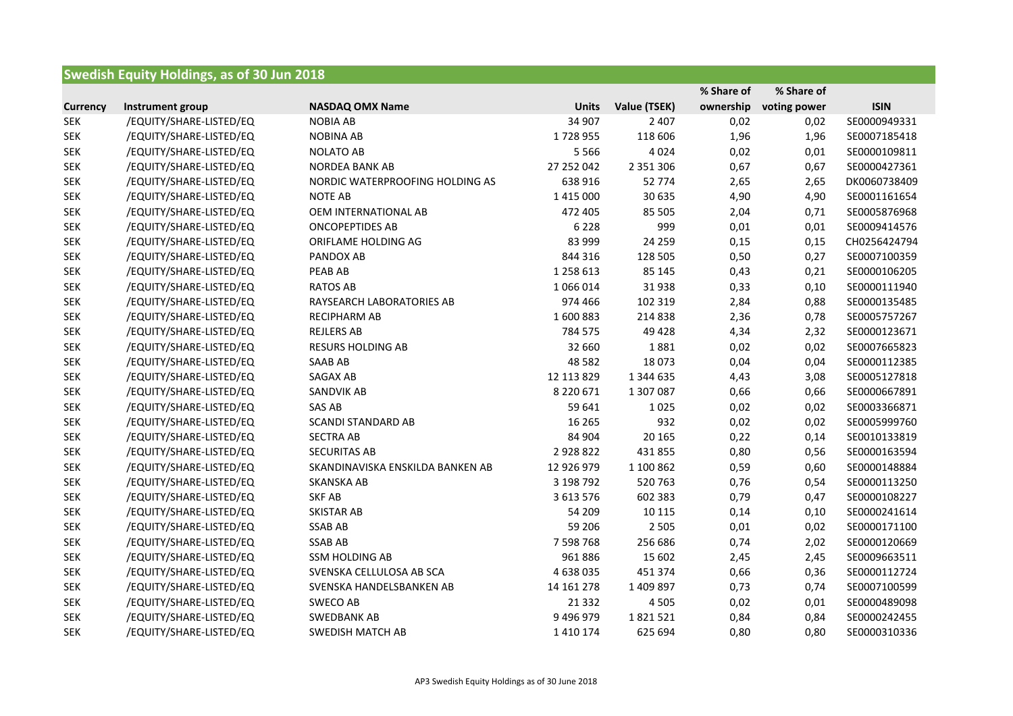| <b>Swedish Equity Holdings, as of 30 Jun 2018</b> |                         |                                  |               |               |            |              |              |
|---------------------------------------------------|-------------------------|----------------------------------|---------------|---------------|------------|--------------|--------------|
|                                                   |                         |                                  |               |               | % Share of | % Share of   |              |
| <b>Currency</b>                                   | Instrument group        | <b>NASDAQ OMX Name</b>           | <b>Units</b>  | Value (TSEK)  | ownership  | voting power | <b>ISIN</b>  |
| <b>SEK</b>                                        | /EQUITY/SHARE-LISTED/EQ | <b>NOBIA AB</b>                  | 34 907        | 2 4 0 7       | 0,02       | 0,02         | SE0000949331 |
| <b>SEK</b>                                        | /EQUITY/SHARE-LISTED/EQ | <b>NOBINA AB</b>                 | 1728955       | 118 606       | 1,96       | 1,96         | SE0007185418 |
| <b>SEK</b>                                        | /EQUITY/SHARE-LISTED/EQ | <b>NOLATO AB</b>                 | 5 5 6 6       | 4024          | 0,02       | 0,01         | SE0000109811 |
| <b>SEK</b>                                        | /EQUITY/SHARE-LISTED/EQ | <b>NORDEA BANK AB</b>            | 27 252 042    | 2 3 5 1 3 0 6 | 0,67       | 0,67         | SE0000427361 |
| <b>SEK</b>                                        | /EQUITY/SHARE-LISTED/EQ | NORDIC WATERPROOFING HOLDING AS  | 638 916       | 52 774        | 2,65       | 2,65         | DK0060738409 |
| <b>SEK</b>                                        | /EQUITY/SHARE-LISTED/EQ | <b>NOTE AB</b>                   | 1 4 1 5 0 0 0 | 30 635        | 4,90       | 4,90         | SE0001161654 |
| <b>SEK</b>                                        | /EQUITY/SHARE-LISTED/EQ | OEM INTERNATIONAL AB             | 472 405       | 85 505        | 2,04       | 0,71         | SE0005876968 |
| <b>SEK</b>                                        | /EQUITY/SHARE-LISTED/EQ | <b>ONCOPEPTIDES AB</b>           | 6 2 2 8       | 999           | 0,01       | 0,01         | SE0009414576 |
| <b>SEK</b>                                        | /EQUITY/SHARE-LISTED/EQ | ORIFLAME HOLDING AG              | 83 999        | 24 2 5 9      | 0,15       | 0,15         | CH0256424794 |
| <b>SEK</b>                                        | /EQUITY/SHARE-LISTED/EQ | PANDOX AB                        | 844 316       | 128 505       | 0,50       | 0,27         | SE0007100359 |
| <b>SEK</b>                                        | /EQUITY/SHARE-LISTED/EQ | PEAB AB                          | 1 258 613     | 85 145        | 0,43       | 0,21         | SE0000106205 |
| <b>SEK</b>                                        | /EQUITY/SHARE-LISTED/EQ | <b>RATOS AB</b>                  | 1 066 014     | 31938         | 0,33       | 0,10         | SE0000111940 |
| <b>SEK</b>                                        | /EQUITY/SHARE-LISTED/EQ | RAYSEARCH LABORATORIES AB        | 974 466       | 102 319       | 2,84       | 0,88         | SE0000135485 |
| <b>SEK</b>                                        | /EQUITY/SHARE-LISTED/EQ | RECIPHARM AB                     | 1600883       | 214 838       | 2,36       | 0,78         | SE0005757267 |
| <b>SEK</b>                                        | /EQUITY/SHARE-LISTED/EQ | <b>REJLERS AB</b>                | 784 575       | 49 4 28       | 4,34       | 2,32         | SE0000123671 |
| <b>SEK</b>                                        | /EQUITY/SHARE-LISTED/EQ | <b>RESURS HOLDING AB</b>         | 32 660        | 1881          | 0,02       | 0,02         | SE0007665823 |
| <b>SEK</b>                                        | /EQUITY/SHARE-LISTED/EQ | SAAB AB                          | 48 5 82       | 18073         | 0,04       | 0,04         | SE0000112385 |
| <b>SEK</b>                                        | /EQUITY/SHARE-LISTED/EQ | SAGAX AB                         | 12 113 829    | 1 344 635     | 4,43       | 3,08         | SE0005127818 |
| <b>SEK</b>                                        | /EQUITY/SHARE-LISTED/EQ | SANDVIK AB                       | 8 2 2 0 6 7 1 | 1 307 087     | 0,66       | 0,66         | SE0000667891 |
| <b>SEK</b>                                        | /EQUITY/SHARE-LISTED/EQ | SAS AB                           | 59 641        | 1025          | 0,02       | 0,02         | SE0003366871 |
| <b>SEK</b>                                        | /EQUITY/SHARE-LISTED/EQ | <b>SCANDI STANDARD AB</b>        | 16 265        | 932           | 0,02       | 0,02         | SE0005999760 |
| <b>SEK</b>                                        | /EQUITY/SHARE-LISTED/EQ | <b>SECTRA AB</b>                 | 84 904        | 20 165        | 0,22       | 0,14         | SE0010133819 |
| <b>SEK</b>                                        | /EQUITY/SHARE-LISTED/EQ | <b>SECURITAS AB</b>              | 2928822       | 431 855       | 0,80       | 0,56         | SE0000163594 |
| <b>SEK</b>                                        | /EQUITY/SHARE-LISTED/EQ | SKANDINAVISKA ENSKILDA BANKEN AB | 12 926 979    | 1 100 862     | 0,59       | 0,60         | SE0000148884 |
| <b>SEK</b>                                        | /EQUITY/SHARE-LISTED/EQ | <b>SKANSKA AB</b>                | 3 198 792     | 520763        | 0,76       | 0,54         | SE0000113250 |
| <b>SEK</b>                                        | /EQUITY/SHARE-LISTED/EQ | <b>SKF AB</b>                    | 3 613 576     | 602 383       | 0,79       | 0,47         | SE0000108227 |
| <b>SEK</b>                                        | /EQUITY/SHARE-LISTED/EQ | SKISTAR AB                       | 54 209        | 10 115        | 0,14       | 0,10         | SE0000241614 |
| <b>SEK</b>                                        | /EQUITY/SHARE-LISTED/EQ | <b>SSAB AB</b>                   | 59 206        | 2 5 0 5       | 0,01       | 0,02         | SE0000171100 |
| <b>SEK</b>                                        | /EQUITY/SHARE-LISTED/EQ | <b>SSAB AB</b>                   | 7 598 768     | 256 686       | 0,74       | 2,02         | SE0000120669 |
| <b>SEK</b>                                        | /EQUITY/SHARE-LISTED/EQ | <b>SSM HOLDING AB</b>            | 961886        | 15 602        | 2,45       | 2,45         | SE0009663511 |
| <b>SEK</b>                                        | /EQUITY/SHARE-LISTED/EQ | SVENSKA CELLULOSA AB SCA         | 4 638 035     | 451 374       | 0,66       | 0,36         | SE0000112724 |
| SEK                                               | /EQUITY/SHARE-LISTED/EQ | SVENSKA HANDELSBANKEN AB         | 14 161 278    | 1 409 897     | 0,73       | 0,74         | SE0007100599 |
| SEK                                               | /EQUITY/SHARE-LISTED/EQ | SWECO AB                         | 21 3 32       | 4 5 0 5       | 0,02       | 0,01         | SE0000489098 |
| <b>SEK</b>                                        | /EQUITY/SHARE-LISTED/EQ | <b>SWEDBANK AB</b>               | 9 496 979     | 1821521       | 0,84       | 0,84         | SE0000242455 |
| SEK                                               | /EQUITY/SHARE-LISTED/EQ | <b>SWEDISH MATCH AB</b>          | 1 4 1 0 1 7 4 | 625 694       | 0,80       | 0,80         | SE0000310336 |